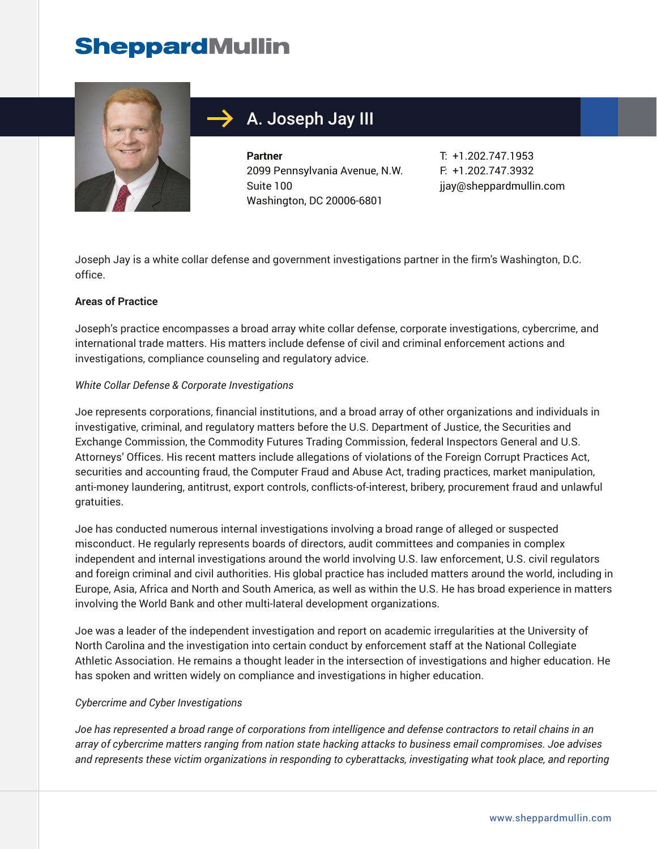

## A. Joseph Jay III

**Partner** 2099 Pennsylvania Avenue, N.W. Suite 100 Washington, DC 20006-6801

T: +1.202.747.1953 F: +1.202.747.3932 jjay@sheppardmullin.com

Joseph Jay is a white collar defense and government investigations partner in the firm's Washington, D.C. office.

#### **Areas of Practice**

Joseph's practice encompasses a broad array white collar defense, corporate investigations, cybercrime, and international trade matters. His matters include defense of civil and criminal enforcement actions and investigations, compliance counseling and regulatory advice.

#### *White Collar Defense & Corporate Investigations*

Joe represents corporations, financial institutions, and a broad array of other organizations and individuals in investigative, criminal, and regulatory matters before the U.S. Department of Justice, the Securities and Exchange Commission, the Commodity Futures Trading Commission, federal Inspectors General and U.S. Attorneys' Offices. His recent matters include allegations of violations of the Foreign Corrupt Practices Act, securities and accounting fraud, the Computer Fraud and Abuse Act, trading practices, market manipulation, anti-money laundering, antitrust, export controls, conflicts-of-interest, bribery, procurement fraud and unlawful gratuities.

Joe has conducted numerous internal investigations involving a broad range of alleged or suspected misconduct. He regularly represents boards of directors, audit committees and companies in complex independent and internal investigations around the world involving U.S. law enforcement, U.S. civil regulators and foreign criminal and civil authorities. His global practice has included matters around the world, including in Europe, Asia, Africa and North and South America, as well as within the U.S. He has broad experience in matters involving the World Bank and other multi-lateral development organizations.

Joe was a leader of the independent investigation and report on academic irregularities at the University of North Carolina and the investigation into certain conduct by enforcement staff at the National Collegiate Athletic Association. He remains a thought leader in the intersection of investigations and higher education. He has spoken and written widely on compliance and investigations in higher education.

#### *Cybercrime and Cyber Investigations*

*Joe has represented a broad range of corporations from intelligence and defense contractors to retail chains in an array of cybercrime matters ranging from nation state hacking attacks to business email compromises. Joe advises and represents these victim organizations in responding to cyberattacks, investigating what took place, and reporting*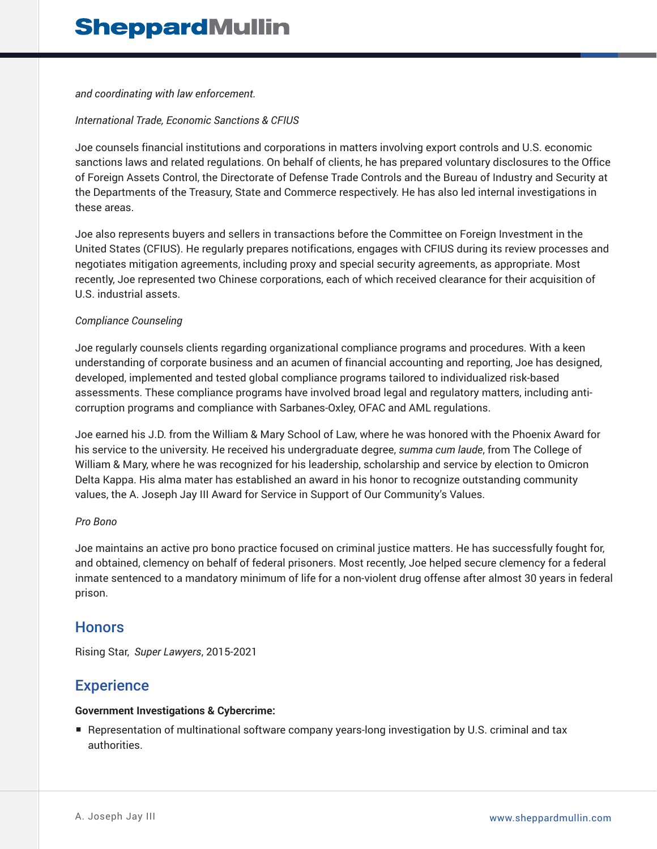*and coordinating with law enforcement.* 

#### *International Trade, Economic Sanctions & CFIUS*

Joe counsels financial institutions and corporations in matters involving export controls and U.S. economic sanctions laws and related regulations. On behalf of clients, he has prepared voluntary disclosures to the Office of Foreign Assets Control, the Directorate of Defense Trade Controls and the Bureau of Industry and Security at the Departments of the Treasury, State and Commerce respectively. He has also led internal investigations in these areas.

Joe also represents buyers and sellers in transactions before the Committee on Foreign Investment in the United States (CFIUS). He regularly prepares notifications, engages with CFIUS during its review processes and negotiates mitigation agreements, including proxy and special security agreements, as appropriate. Most recently, Joe represented two Chinese corporations, each of which received clearance for their acquisition of U.S. industrial assets.

#### *Compliance Counseling*

Joe regularly counsels clients regarding organizational compliance programs and procedures. With a keen understanding of corporate business and an acumen of financial accounting and reporting, Joe has designed, developed, implemented and tested global compliance programs tailored to individualized risk-based assessments. These compliance programs have involved broad legal and regulatory matters, including anticorruption programs and compliance with Sarbanes-Oxley, OFAC and AML regulations.

Joe earned his J.D. from the William & Mary School of Law, where he was honored with the Phoenix Award for his service to the university. He received his undergraduate degree, *summa cum laude*, from The College of William & Mary, where he was recognized for his leadership, scholarship and service by election to Omicron Delta Kappa. His alma mater has established an award in his honor to recognize outstanding community values, the A. Joseph Jay III Award for Service in Support of Our Community's Values.

#### *Pro Bono*

Joe maintains an active pro bono practice focused on criminal justice matters. He has successfully fought for, and obtained, clemency on behalf of federal prisoners. Most recently, Joe helped secure clemency for a federal inmate sentenced to a mandatory minimum of life for a non-violent drug offense after almost 30 years in federal prison.

### **Honors**

Rising Star, *Super Lawyers*, 2015-2021

## **Experience**

### **Government Investigations & Cybercrime:**

■ Representation of multinational software company years-long investigation by U.S. criminal and tax authorities.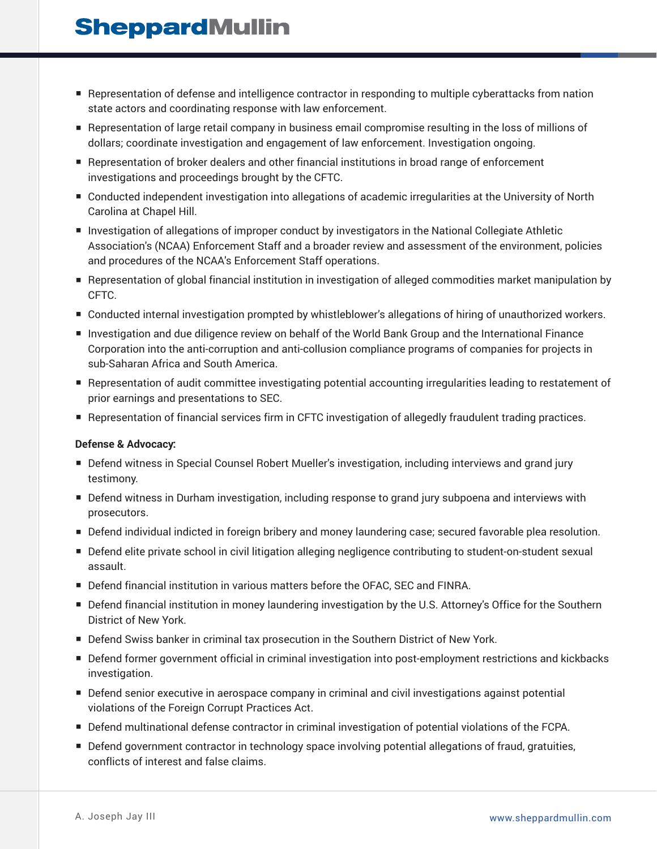- Representation of defense and intelligence contractor in responding to multiple cyberattacks from nation state actors and coordinating response with law enforcement.
- Representation of large retail company in business email compromise resulting in the loss of millions of dollars; coordinate investigation and engagement of law enforcement. Investigation ongoing.
- Representation of broker dealers and other financial institutions in broad range of enforcement investigations and proceedings brought by the CFTC.
- Conducted independent investigation into allegations of academic irregularities at the University of North Carolina at Chapel Hill.
- Investigation of allegations of improper conduct by investigators in the National Collegiate Athletic Association's (NCAA) Enforcement Staff and a broader review and assessment of the environment, policies and procedures of the NCAA's Enforcement Staff operations.
- Representation of global financial institution in investigation of alleged commodities market manipulation by CFTC.
- Conducted internal investigation prompted by whistleblower's allegations of hiring of unauthorized workers.
- Investigation and due diligence review on behalf of the World Bank Group and the International Finance Corporation into the anti-corruption and anti-collusion compliance programs of companies for projects in sub-Saharan Africa and South America.
- Representation of audit committee investigating potential accounting irregularities leading to restatement of prior earnings and presentations to SEC.
- Representation of financial services firm in CFTC investigation of allegedly fraudulent trading practices.

#### **Defense & Advocacy:**

- Defend witness in Special Counsel Robert Mueller's investigation, including interviews and grand jury testimony.
- Defend witness in Durham investigation, including response to grand jury subpoena and interviews with prosecutors.
- Defend individual indicted in foreign bribery and money laundering case; secured favorable plea resolution.
- Defend elite private school in civil litigation alleging negligence contributing to student-on-student sexual assault.
- Defend financial institution in various matters before the OFAC, SEC and FINRA.
- Defend financial institution in money laundering investigation by the U.S. Attorney's Office for the Southern District of New York.
- Defend Swiss banker in criminal tax prosecution in the Southern District of New York.
- Defend former government official in criminal investigation into post-employment restrictions and kickbacks investigation.
- Defend senior executive in aerospace company in criminal and civil investigations against potential violations of the Foreign Corrupt Practices Act.
- Defend multinational defense contractor in criminal investigation of potential violations of the FCPA.
- Defend government contractor in technology space involving potential allegations of fraud, gratuities, conflicts of interest and false claims.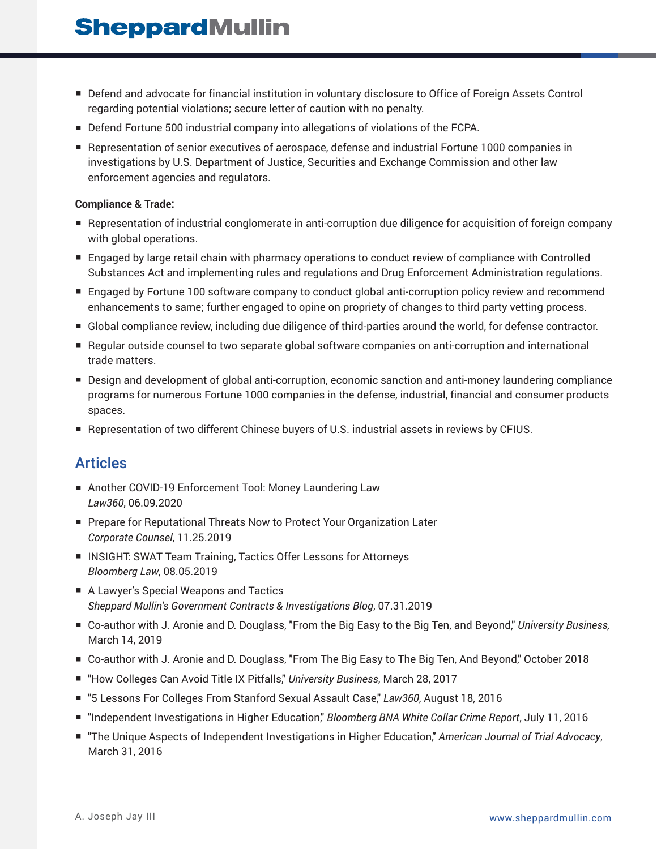- Defend and advocate for financial institution in voluntary disclosure to Office of Foreign Assets Control regarding potential violations; secure letter of caution with no penalty.
- Defend Fortune 500 industrial company into allegations of violations of the FCPA.
- Representation of senior executives of aerospace, defense and industrial Fortune 1000 companies in investigations by U.S. Department of Justice, Securities and Exchange Commission and other law enforcement agencies and regulators.

#### **Compliance & Trade:**

- Representation of industrial conglomerate in anti-corruption due diligence for acquisition of foreign company with global operations.
- Engaged by large retail chain with pharmacy operations to conduct review of compliance with Controlled Substances Act and implementing rules and regulations and Drug Enforcement Administration regulations.
- Engaged by Fortune 100 software company to conduct global anti-corruption policy review and recommend enhancements to same; further engaged to opine on propriety of changes to third party vetting process.
- Global compliance review, including due diligence of third-parties around the world, for defense contractor.
- Regular outside counsel to two separate global software companies on anti-corruption and international trade matters.
- Design and development of global anti-corruption, economic sanction and anti-money laundering compliance programs for numerous Fortune 1000 companies in the defense, industrial, financial and consumer products spaces.
- Representation of two different Chinese buyers of U.S. industrial assets in reviews by CFIUS.

### Articles

- Another COVID-19 Enforcement Tool: Money Laundering Law *Law360*, 06.09.2020
- Prepare for Reputational Threats Now to Protect Your Organization Later *Corporate Counsel*, 11.25.2019
- INSIGHT: SWAT Team Training, Tactics Offer Lessons for Attorneys *Bloomberg Law*, 08.05.2019
- A Lawyer's Special Weapons and Tactics *Sheppard Mullin's Government Contracts & Investigations Blog*, 07.31.2019
- Co-author with J. Aronie and D. Douglass, "From the Big Easy to the Big Ten, and Beyond," *University Business*, March 14, 2019
- Co-author with J. Aronie and D. Douglass, "From The Big Easy to The Big Ten, And Beyond," October 2018
- "How Colleges Can Avoid Title IX Pitfalls," University Business, March 28, 2017
- "5 Lessons For Colleges From Stanford Sexual Assault Case," Law360, August 18, 2016
- "Independent Investigations in Higher Education," *Bloomberg BNA White Collar Crime Report*, July 11, 2016
- "The Unique Aspects of Independent Investigations in Higher Education," American Journal of Trial Advocacy, March 31, 2016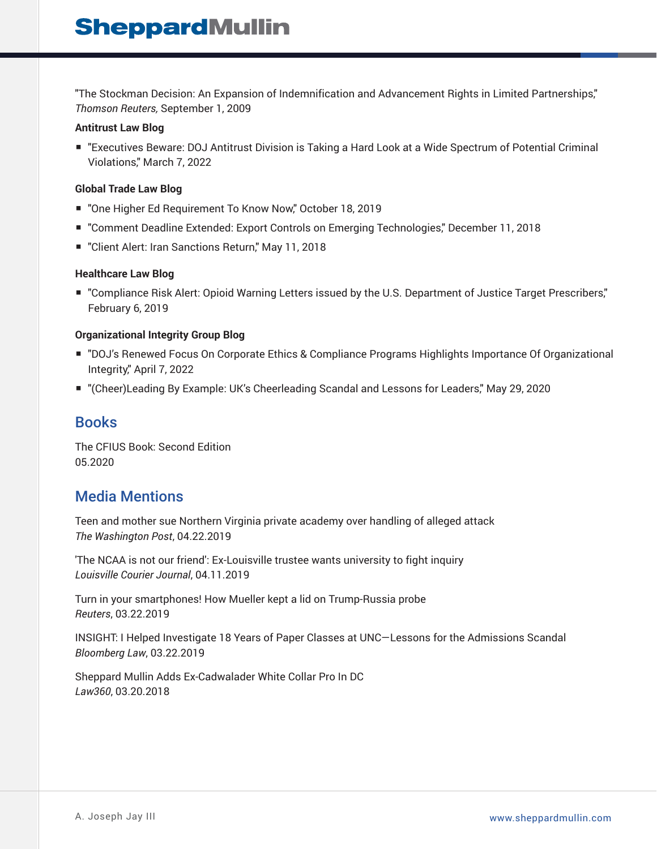"The Stockman Decision: An Expansion of Indemnification and Advancement Rights in Limited Partnerships," *Thomson Reuters,* September 1, 2009

#### **Antitrust Law Blog**

■ "Executives Beware: DOJ Antitrust Division is Taking a Hard Look at a Wide Spectrum of Potential Criminal Violations," March 7, 2022

#### **Global Trade Law Blog**

- "One Higher Ed Requirement To Know Now," October 18, 2019
- "Comment Deadline Extended: Export Controls on Emerging Technologies," December 11, 2018
- "Client Alert: Iran Sanctions Return," May 11, 2018

#### **Healthcare Law Blog**

■ "Compliance Risk Alert: Opioid Warning Letters issued by the U.S. Department of Justice Target Prescribers," February 6, 2019

#### **Organizational Integrity Group Blog**

- "DOJ's Renewed Focus On Corporate Ethics & Compliance Programs Highlights Importance Of Organizational Integrity," April 7, 2022
- "(Cheer)Leading By Example: UK's Cheerleading Scandal and Lessons for Leaders," May 29, 2020

### Books

The CFIUS Book: Second Edition 05.2020

## Media Mentions

Teen and mother sue Northern Virginia private academy over handling of alleged attack *The Washington Post*, 04.22.2019

'The NCAA is not our friend': Ex-Louisville trustee wants university to fight inquiry *Louisville Courier Journal*, 04.11.2019

Turn in your smartphones! How Mueller kept a lid on Trump-Russia probe *Reuters*, 03.22.2019

INSIGHT: I Helped Investigate 18 Years of Paper Classes at UNC—Lessons for the Admissions Scandal *Bloomberg Law*, 03.22.2019

Sheppard Mullin Adds Ex-Cadwalader White Collar Pro In DC *Law360*, 03.20.2018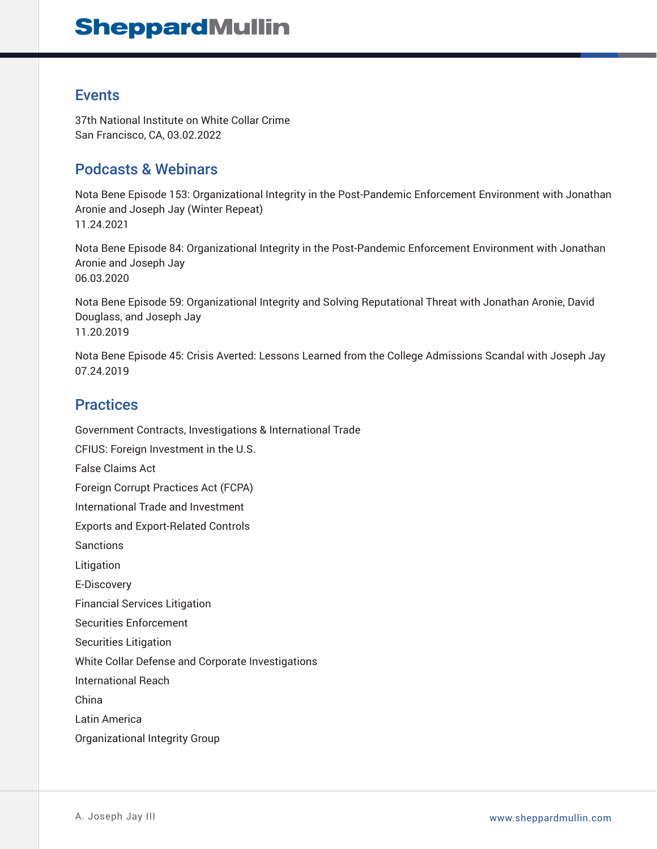## Events

37th National Institute on White Collar Crime San Francisco, CA, 03.02.2022

## Podcasts & Webinars

Nota Bene Episode 153: Organizational Integrity in the Post-Pandemic Enforcement Environment with Jonathan Aronie and Joseph Jay (Winter Repeat) 11.24.2021

Nota Bene Episode 84: Organizational Integrity in the Post-Pandemic Enforcement Environment with Jonathan Aronie and Joseph Jay 06.03.2020

Nota Bene Episode 59: Organizational Integrity and Solving Reputational Threat with Jonathan Aronie, David Douglass, and Joseph Jay 11.20.2019

Nota Bene Episode 45: Crisis Averted: Lessons Learned from the College Admissions Scandal with Joseph Jay 07.24.2019

## **Practices**

Government Contracts, Investigations & International Trade CFIUS: Foreign Investment in the U.S. False Claims Act Foreign Corrupt Practices Act (FCPA) International Trade and Investment Exports and Export-Related Controls Sanctions Litigation E-Discovery Financial Services Litigation Securities Enforcement Securities Litigation White Collar Defense and Corporate Investigations International Reach China Latin America Organizational Integrity Group